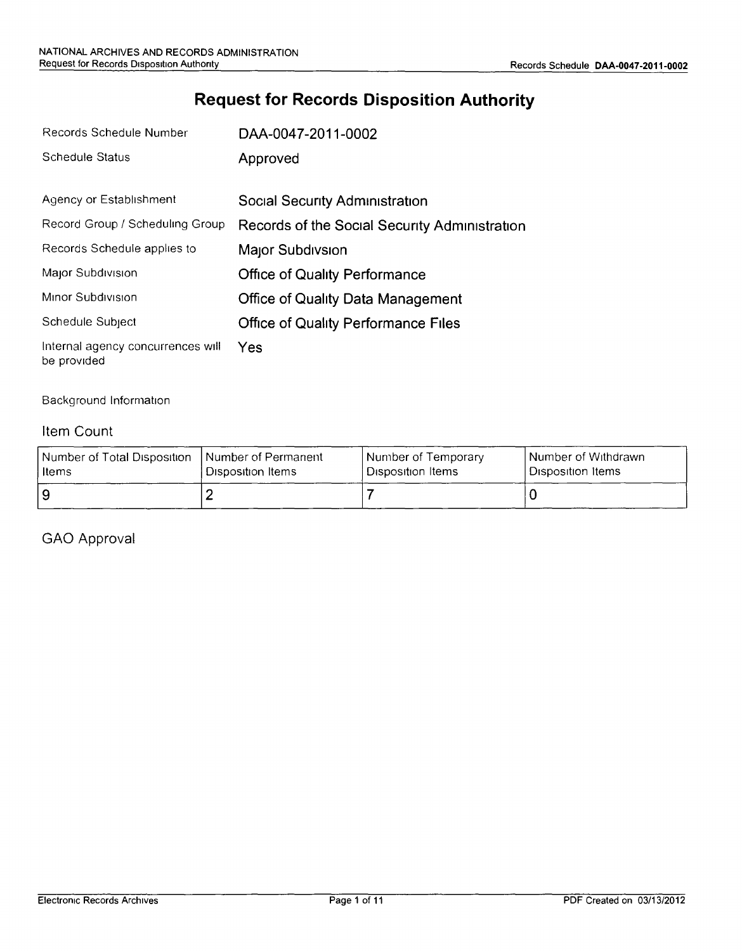# **Request for Records Disposition Authority**

| Records Schedule Number                          | DAA-0047-2011-0002                            |
|--------------------------------------------------|-----------------------------------------------|
| Schedule Status                                  | Approved                                      |
| Agency or Establishment                          | Social Security Administration                |
| Record Group / Scheduling Group                  | Records of the Social Security Administration |
| Records Schedule applies to                      | Major Subdivsion                              |
| Major Subdivision                                | <b>Office of Quality Performance</b>          |
| Minor Subdivision                                | <b>Office of Quality Data Management</b>      |
| Schedule Subject                                 | <b>Office of Quality Performance Files</b>    |
| Internal agency concurrences will<br>be provided | Yes                                           |

#### Background Information

#### Item Count

| Number of Total Disposition | Number of Permanent            | Number of Temporary | l Number of Withdrawn |
|-----------------------------|--------------------------------|---------------------|-----------------------|
| l Items                     | <sup>i</sup> Disposition Items | Disposition Items   | ' Disposition Items i |
| و ا                         |                                |                     |                       |

### GAO Approval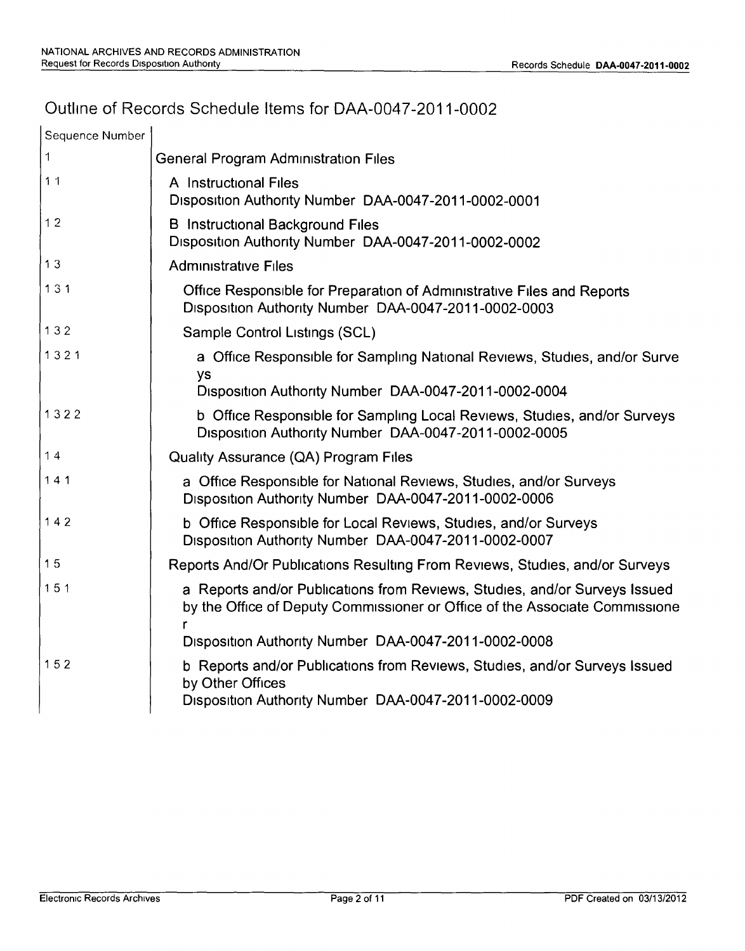# Outline of Records Schedule Items for DAA-0047-2011-0002

| Sequence Number |                                                                                                                                                           |
|-----------------|-----------------------------------------------------------------------------------------------------------------------------------------------------------|
| 1               | <b>General Program Administration Files</b>                                                                                                               |
| 11              | A Instructional Files<br>Disposition Authority Number DAA-0047-2011-0002-0001                                                                             |
| 12              | <b>B</b> Instructional Background Files<br>Disposition Authority Number DAA-0047-2011-0002-0002                                                           |
| 13              | <b>Administrative Files</b>                                                                                                                               |
| 131             | Office Responsible for Preparation of Administrative Files and Reports<br>Disposition Authority Number DAA-0047-2011-0002-0003                            |
| 132             | Sample Control Listings (SCL)                                                                                                                             |
| 1321            | a Office Responsible for Sampling National Reviews, Studies, and/or Surve<br>ys                                                                           |
|                 | Disposition Authority Number DAA-0047-2011-0002-0004                                                                                                      |
| 1322            | b Office Responsible for Sampling Local Reviews, Studies, and/or Surveys<br>Disposition Authority Number DAA-0047-2011-0002-0005                          |
| 14              | Quality Assurance (QA) Program Files                                                                                                                      |
| 141             | a Office Responsible for National Reviews, Studies, and/or Surveys<br>Disposition Authority Number DAA-0047-2011-0002-0006                                |
| $142$           | b Office Responsible for Local Reviews, Studies, and/or Surveys<br>Disposition Authority Number DAA-0047-2011-0002-0007                                   |
| 15              | Reports And/Or Publications Resulting From Reviews, Studies, and/or Surveys                                                                               |
| 151             | a Reports and/or Publications from Reviews, Studies, and/or Surveys Issued<br>by the Office of Deputy Commissioner or Office of the Associate Commissione |
|                 | Disposition Authority Number DAA-0047-2011-0002-0008                                                                                                      |
| 152             | b Reports and/or Publications from Reviews, Studies, and/or Surveys Issued<br>by Other Offices<br>Disposition Authority Number DAA-0047-2011-0002-0009    |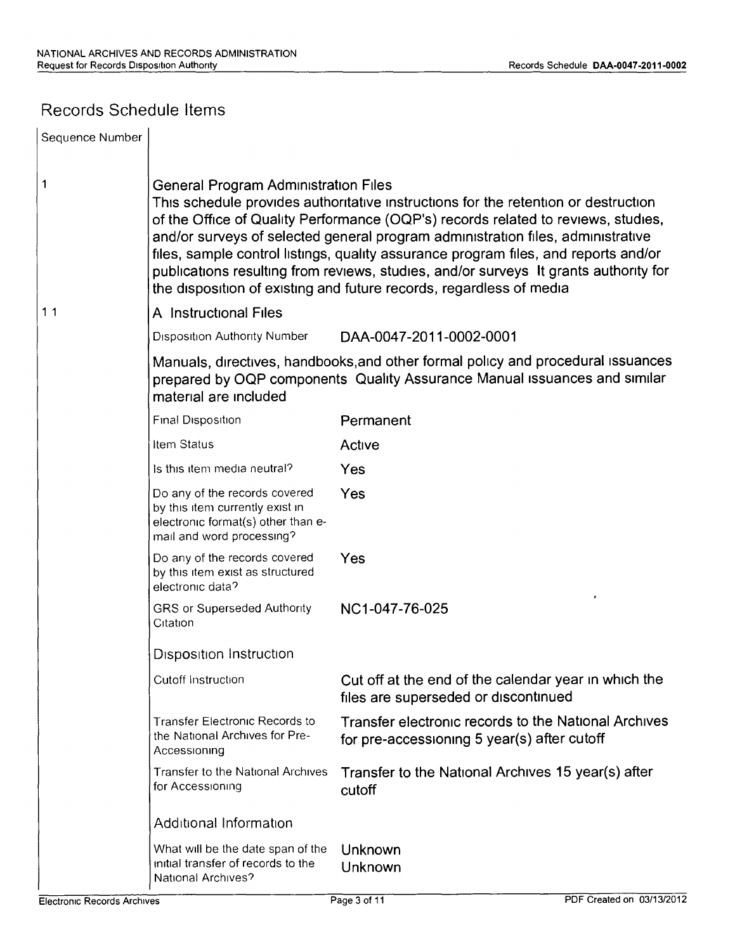## Records Schedule Items

| Sequence Number                    |                                                                                                                                                                                                                                                                                                                                                                                                                                                                                                                                                          |                                                                                                                                                               |  |  |
|------------------------------------|----------------------------------------------------------------------------------------------------------------------------------------------------------------------------------------------------------------------------------------------------------------------------------------------------------------------------------------------------------------------------------------------------------------------------------------------------------------------------------------------------------------------------------------------------------|---------------------------------------------------------------------------------------------------------------------------------------------------------------|--|--|
| 1                                  | General Program Administration Files<br>This schedule provides authoritative instructions for the retention or destruction<br>of the Office of Quality Performance (OQP's) records related to reviews, studies,<br>and/or surveys of selected general program administration files, administrative<br>files, sample control listings, quality assurance program files, and reports and/or<br>publications resulting from reviews, studies, and/or surveys It grants authority for<br>the disposition of existing and future records, regardless of media |                                                                                                                                                               |  |  |
| 11                                 | A Instructional Files                                                                                                                                                                                                                                                                                                                                                                                                                                                                                                                                    |                                                                                                                                                               |  |  |
|                                    | <b>Disposition Authority Number</b>                                                                                                                                                                                                                                                                                                                                                                                                                                                                                                                      | DAA-0047-2011-0002-0001                                                                                                                                       |  |  |
|                                    | material are included                                                                                                                                                                                                                                                                                                                                                                                                                                                                                                                                    | Manuals, directives, handbooks, and other formal policy and procedural issuances<br>prepared by OQP components Quality Assurance Manual issuances and similar |  |  |
|                                    | Final Disposition                                                                                                                                                                                                                                                                                                                                                                                                                                                                                                                                        | Permanent                                                                                                                                                     |  |  |
|                                    | Item Status                                                                                                                                                                                                                                                                                                                                                                                                                                                                                                                                              | Active                                                                                                                                                        |  |  |
|                                    | Is this item media neutral?                                                                                                                                                                                                                                                                                                                                                                                                                                                                                                                              | Yes                                                                                                                                                           |  |  |
|                                    | Do any of the records covered<br>by this item currently exist in<br>electronic format(s) other than e-<br>mail and word processing?                                                                                                                                                                                                                                                                                                                                                                                                                      | Yes                                                                                                                                                           |  |  |
|                                    | Do any of the records covered<br>by this item exist as structured<br>electronic data?                                                                                                                                                                                                                                                                                                                                                                                                                                                                    | Yes                                                                                                                                                           |  |  |
|                                    | <b>GRS or Superseded Authority</b><br>Citation                                                                                                                                                                                                                                                                                                                                                                                                                                                                                                           | NC1-047-76-025                                                                                                                                                |  |  |
|                                    | <b>Disposition Instruction</b>                                                                                                                                                                                                                                                                                                                                                                                                                                                                                                                           |                                                                                                                                                               |  |  |
|                                    | Cutoff Instruction                                                                                                                                                                                                                                                                                                                                                                                                                                                                                                                                       | Cut off at the end of the calendar year in which the<br>files are superseded or discontinued                                                                  |  |  |
|                                    | <b>Transfer Electronic Records to</b><br>the National Archives for Pre-<br>Accessioning                                                                                                                                                                                                                                                                                                                                                                                                                                                                  | Transfer electronic records to the National Archives<br>for pre-accessioning 5 year(s) after cutoff                                                           |  |  |
|                                    | <b>Transfer to the National Archives</b><br>for Accessioning                                                                                                                                                                                                                                                                                                                                                                                                                                                                                             | Transfer to the National Archives 15 year(s) after<br>cutoff                                                                                                  |  |  |
|                                    | Additional Information                                                                                                                                                                                                                                                                                                                                                                                                                                                                                                                                   |                                                                                                                                                               |  |  |
|                                    | What will be the date span of the<br>initial transfer of records to the<br>National Archives?                                                                                                                                                                                                                                                                                                                                                                                                                                                            | Unknown<br>Unknown                                                                                                                                            |  |  |
| <b>Electronic Records Archives</b> |                                                                                                                                                                                                                                                                                                                                                                                                                                                                                                                                                          | PDF Created on 03/13/2012<br>Page 3 of 11                                                                                                                     |  |  |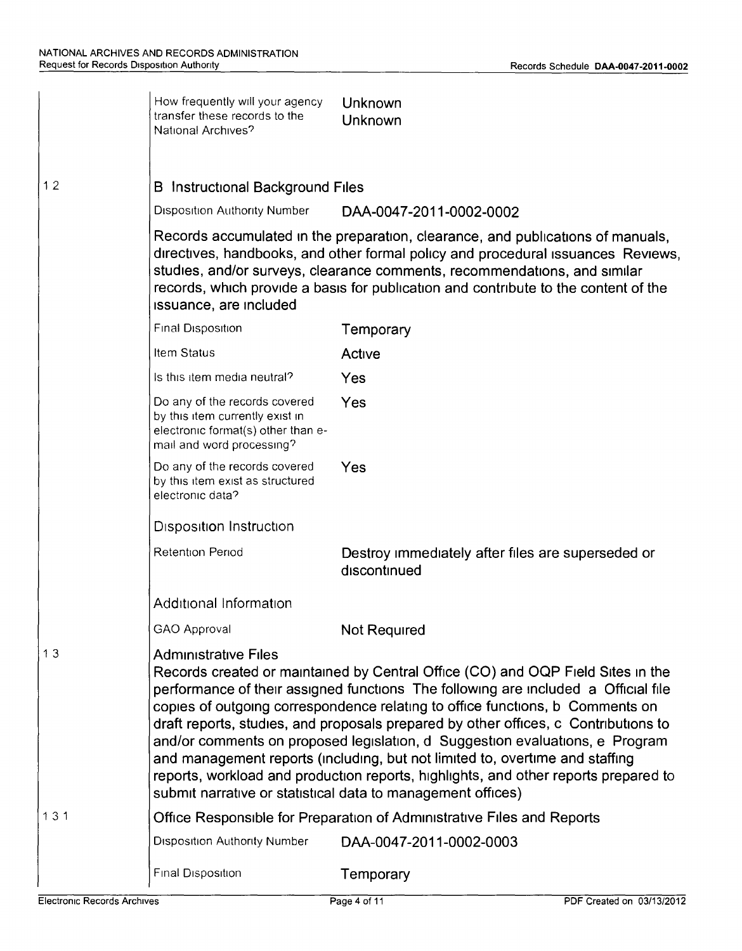|     | How frequently will your agency<br>transfer these records to the<br>National Archives?                                                                                                                                                                                                                                                                                                                                                                                                                                                                                                                                                                                                             | Unknown<br>Unknown                                                                                                                                                                                                                                                                                                                      |
|-----|----------------------------------------------------------------------------------------------------------------------------------------------------------------------------------------------------------------------------------------------------------------------------------------------------------------------------------------------------------------------------------------------------------------------------------------------------------------------------------------------------------------------------------------------------------------------------------------------------------------------------------------------------------------------------------------------------|-----------------------------------------------------------------------------------------------------------------------------------------------------------------------------------------------------------------------------------------------------------------------------------------------------------------------------------------|
| 12  | Instructional Background Files<br>B.                                                                                                                                                                                                                                                                                                                                                                                                                                                                                                                                                                                                                                                               |                                                                                                                                                                                                                                                                                                                                         |
|     | <b>Disposition Authority Number</b>                                                                                                                                                                                                                                                                                                                                                                                                                                                                                                                                                                                                                                                                | DAA-0047-2011-0002-0002                                                                                                                                                                                                                                                                                                                 |
|     | issuance, are included                                                                                                                                                                                                                                                                                                                                                                                                                                                                                                                                                                                                                                                                             | Records accumulated in the preparation, clearance, and publications of manuals,<br>directives, handbooks, and other formal policy and procedural issuances Reviews,<br>studies, and/or surveys, clearance comments, recommendations, and similar<br>records, which provide a basis for publication and contribute to the content of the |
|     | Final Disposition                                                                                                                                                                                                                                                                                                                                                                                                                                                                                                                                                                                                                                                                                  | Temporary                                                                                                                                                                                                                                                                                                                               |
|     | Item Status                                                                                                                                                                                                                                                                                                                                                                                                                                                                                                                                                                                                                                                                                        | Active                                                                                                                                                                                                                                                                                                                                  |
|     | Is this item media neutral?                                                                                                                                                                                                                                                                                                                                                                                                                                                                                                                                                                                                                                                                        | Yes                                                                                                                                                                                                                                                                                                                                     |
|     | Do any of the records covered<br>by this item currently exist in<br>electronic format(s) other than e-<br>mail and word processing?                                                                                                                                                                                                                                                                                                                                                                                                                                                                                                                                                                | Yes                                                                                                                                                                                                                                                                                                                                     |
|     | Do any of the records covered<br>by this item exist as structured<br>electronic data?                                                                                                                                                                                                                                                                                                                                                                                                                                                                                                                                                                                                              | Yes                                                                                                                                                                                                                                                                                                                                     |
|     | <b>Disposition Instruction</b>                                                                                                                                                                                                                                                                                                                                                                                                                                                                                                                                                                                                                                                                     |                                                                                                                                                                                                                                                                                                                                         |
|     | <b>Retention Period</b>                                                                                                                                                                                                                                                                                                                                                                                                                                                                                                                                                                                                                                                                            | Destroy immediately after files are superseded or<br>discontinued                                                                                                                                                                                                                                                                       |
|     | Additional Information                                                                                                                                                                                                                                                                                                                                                                                                                                                                                                                                                                                                                                                                             |                                                                                                                                                                                                                                                                                                                                         |
|     | GAO Approval                                                                                                                                                                                                                                                                                                                                                                                                                                                                                                                                                                                                                                                                                       | Not Required                                                                                                                                                                                                                                                                                                                            |
| 13  | <b>Administrative Files</b><br>Records created or maintained by Central Office (CO) and OQP Field Sites in the<br>performance of their assigned functions The following are included a Official file<br>copies of outgoing correspondence relating to office functions, b Comments on<br>draft reports, studies, and proposals prepared by other offices, c Contributions to<br>and/or comments on proposed legislation, d Suggestion evaluations, e Program<br>and management reports (including, but not limited to, overtime and staffing<br>reports, workload and production reports, highlights, and other reports prepared to<br>submit narrative or statistical data to management offices) |                                                                                                                                                                                                                                                                                                                                         |
| 131 |                                                                                                                                                                                                                                                                                                                                                                                                                                                                                                                                                                                                                                                                                                    | Office Responsible for Preparation of Administrative Files and Reports                                                                                                                                                                                                                                                                  |
|     | <b>Disposition Authority Number</b>                                                                                                                                                                                                                                                                                                                                                                                                                                                                                                                                                                                                                                                                | DAA-0047-2011-0002-0003                                                                                                                                                                                                                                                                                                                 |
|     | Final Disposition                                                                                                                                                                                                                                                                                                                                                                                                                                                                                                                                                                                                                                                                                  | Temporary                                                                                                                                                                                                                                                                                                                               |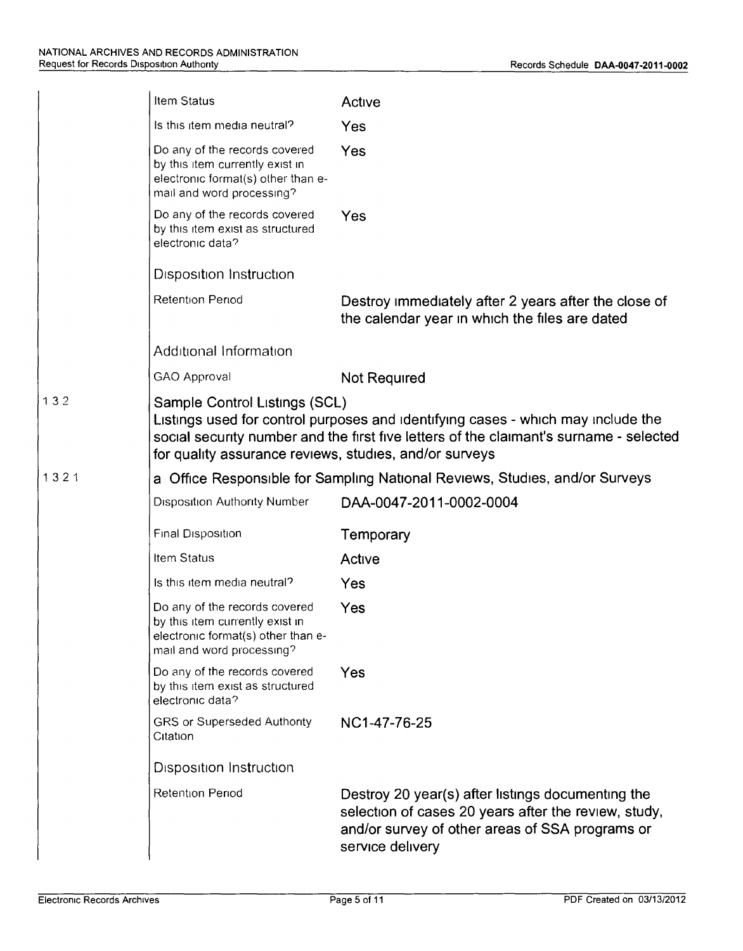|      | Item Status                                                                                                                                                                                                                                                           | Active                                                                                                                                                                           |  |
|------|-----------------------------------------------------------------------------------------------------------------------------------------------------------------------------------------------------------------------------------------------------------------------|----------------------------------------------------------------------------------------------------------------------------------------------------------------------------------|--|
|      | Is this item media neutral?                                                                                                                                                                                                                                           | Yes                                                                                                                                                                              |  |
|      | Do any of the records covered<br>by this item currently exist in<br>electronic format(s) other than e-<br>mail and word processing?                                                                                                                                   | Yes                                                                                                                                                                              |  |
|      | Do any of the records covered<br>by this item exist as structured<br>electronic data?                                                                                                                                                                                 | Yes                                                                                                                                                                              |  |
|      | Disposition Instruction                                                                                                                                                                                                                                               |                                                                                                                                                                                  |  |
|      | Retention Period                                                                                                                                                                                                                                                      | Destroy immediately after 2 years after the close of<br>the calendar year in which the files are dated                                                                           |  |
|      | Additional Information                                                                                                                                                                                                                                                |                                                                                                                                                                                  |  |
|      | GAO Approval                                                                                                                                                                                                                                                          | <b>Not Required</b>                                                                                                                                                              |  |
| 132  | Sample Control Listings (SCL)<br>Listings used for control purposes and identifying cases - which may include the<br>social security number and the first five letters of the claimant's surname - selected<br>for quality assurance reviews, studies, and/or surveys |                                                                                                                                                                                  |  |
| 1321 |                                                                                                                                                                                                                                                                       | a Office Responsible for Sampling National Reviews, Studies, and/or Surveys                                                                                                      |  |
|      | <b>Disposition Authority Number</b>                                                                                                                                                                                                                                   | DAA-0047-2011-0002-0004                                                                                                                                                          |  |
|      | Final Disposition                                                                                                                                                                                                                                                     | Temporary                                                                                                                                                                        |  |
|      | Item Status                                                                                                                                                                                                                                                           | Active                                                                                                                                                                           |  |
|      | Is this item media neutral?                                                                                                                                                                                                                                           | Yes                                                                                                                                                                              |  |
|      | Do any of the records covered<br>by this item currently exist in<br>electronic format(s) other than e-<br>mail and word processing?                                                                                                                                   | Yes                                                                                                                                                                              |  |
|      | Do any of the records covered<br>by this item exist as structured<br>electronic data?                                                                                                                                                                                 | Yes                                                                                                                                                                              |  |
|      | <b>GRS or Superseded Authority</b><br>Citation                                                                                                                                                                                                                        | NC1-47-76-25                                                                                                                                                                     |  |
|      | <b>Disposition Instruction</b>                                                                                                                                                                                                                                        |                                                                                                                                                                                  |  |
|      | <b>Retention Period</b>                                                                                                                                                                                                                                               | Destroy 20 year(s) after listings documenting the<br>selection of cases 20 years after the review, study,<br>and/or survey of other areas of SSA programs or<br>service delivery |  |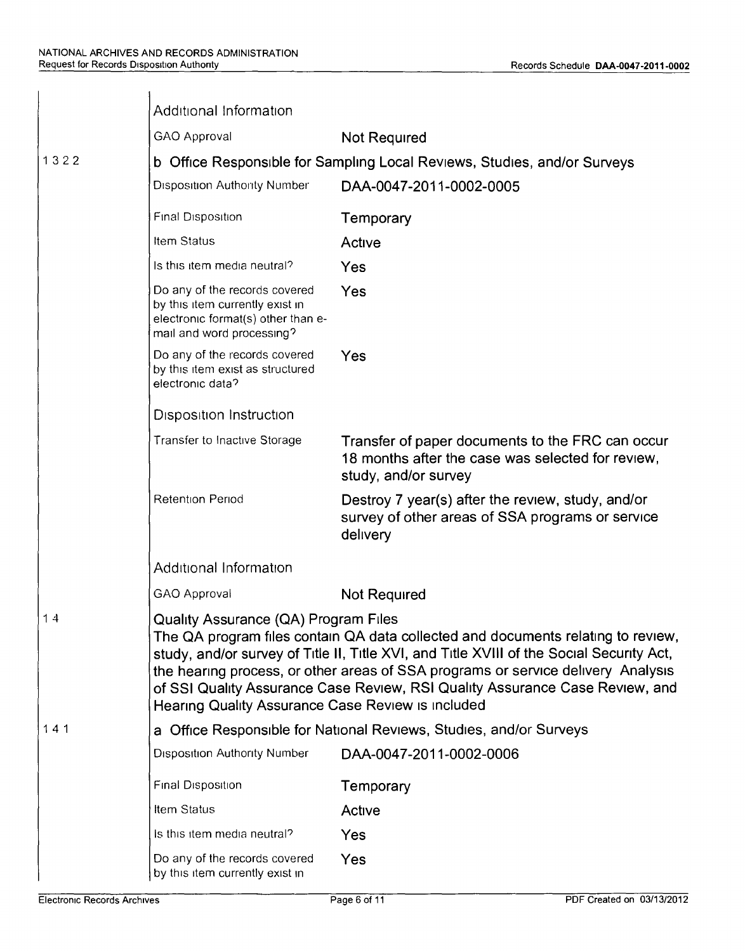|      | Additional Information                                                                                                                                                                                                                                                                                                                                                                                                                               |                                                                                                                               |  |  |
|------|------------------------------------------------------------------------------------------------------------------------------------------------------------------------------------------------------------------------------------------------------------------------------------------------------------------------------------------------------------------------------------------------------------------------------------------------------|-------------------------------------------------------------------------------------------------------------------------------|--|--|
|      | GAO Approval                                                                                                                                                                                                                                                                                                                                                                                                                                         | <b>Not Required</b>                                                                                                           |  |  |
| 1322 | b Office Responsible for Sampling Local Reviews, Studies, and/or Surveys                                                                                                                                                                                                                                                                                                                                                                             |                                                                                                                               |  |  |
|      | <b>Disposition Authority Number</b>                                                                                                                                                                                                                                                                                                                                                                                                                  | DAA-0047-2011-0002-0005                                                                                                       |  |  |
|      | Final Disposition                                                                                                                                                                                                                                                                                                                                                                                                                                    | Temporary                                                                                                                     |  |  |
|      | Item Status                                                                                                                                                                                                                                                                                                                                                                                                                                          | Active                                                                                                                        |  |  |
|      | Is this item media neutral?                                                                                                                                                                                                                                                                                                                                                                                                                          | Yes                                                                                                                           |  |  |
|      | Do any of the records covered<br>by this item currently exist in<br>electronic format(s) other than e-<br>mail and word processing?                                                                                                                                                                                                                                                                                                                  | Yes                                                                                                                           |  |  |
|      | Do any of the records covered<br>by this item exist as structured<br>electronic data?                                                                                                                                                                                                                                                                                                                                                                | Yes                                                                                                                           |  |  |
|      | <b>Disposition Instruction</b>                                                                                                                                                                                                                                                                                                                                                                                                                       |                                                                                                                               |  |  |
|      | Transfer to Inactive Storage                                                                                                                                                                                                                                                                                                                                                                                                                         | Transfer of paper documents to the FRC can occur<br>18 months after the case was selected for review,<br>study, and/or survey |  |  |
|      | Retention Period                                                                                                                                                                                                                                                                                                                                                                                                                                     | Destroy 7 year(s) after the review, study, and/or<br>survey of other areas of SSA programs or service<br>delivery             |  |  |
|      | Additional Information                                                                                                                                                                                                                                                                                                                                                                                                                               |                                                                                                                               |  |  |
|      | GAO Approval                                                                                                                                                                                                                                                                                                                                                                                                                                         | <b>Not Required</b>                                                                                                           |  |  |
| 14   | <b>Quality Assurance (QA) Program Files</b><br>The QA program files contain QA data collected and documents relating to review,<br>study, and/or survey of Title II, Title XVI, and Title XVIII of the Social Security Act,<br>the hearing process, or other areas of SSA programs or service delivery Analysis<br>of SSI Quality Assurance Case Review, RSI Quality Assurance Case Review, and<br>Hearing Quality Assurance Case Review is included |                                                                                                                               |  |  |
| 141  |                                                                                                                                                                                                                                                                                                                                                                                                                                                      | a Office Responsible for National Reviews, Studies, and/or Surveys                                                            |  |  |
|      | <b>Disposition Authority Number</b>                                                                                                                                                                                                                                                                                                                                                                                                                  | DAA-0047-2011-0002-0006                                                                                                       |  |  |
|      | Final Disposition                                                                                                                                                                                                                                                                                                                                                                                                                                    | Temporary                                                                                                                     |  |  |
|      | Item Status                                                                                                                                                                                                                                                                                                                                                                                                                                          | Active                                                                                                                        |  |  |
|      | Is this item media neutral?                                                                                                                                                                                                                                                                                                                                                                                                                          | <b>Yes</b>                                                                                                                    |  |  |
|      | Do any of the records covered<br>by this item currently exist in                                                                                                                                                                                                                                                                                                                                                                                     | <b>Yes</b>                                                                                                                    |  |  |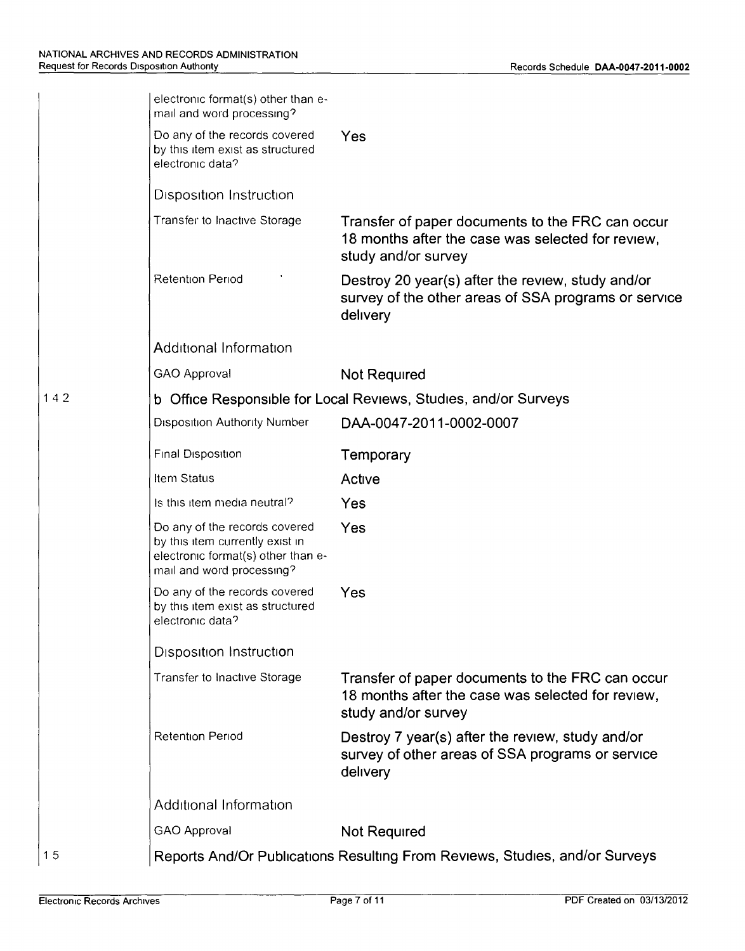|     | electronic format(s) other than e-<br>mail and word processing?                                                                     |                                                                                                                              |  |  |  |
|-----|-------------------------------------------------------------------------------------------------------------------------------------|------------------------------------------------------------------------------------------------------------------------------|--|--|--|
|     | Do any of the records covered<br>by this item exist as structured<br>electronic data?                                               | Yes                                                                                                                          |  |  |  |
|     | Disposition Instruction                                                                                                             |                                                                                                                              |  |  |  |
|     | Transfer to Inactive Storage                                                                                                        | Transfer of paper documents to the FRC can occur<br>18 months after the case was selected for review,<br>study and/or survey |  |  |  |
|     | <b>Retention Period</b>                                                                                                             | Destroy 20 year(s) after the review, study and/or<br>survey of the other areas of SSA programs or service<br>delivery        |  |  |  |
|     | Additional Information                                                                                                              |                                                                                                                              |  |  |  |
|     | GAO Approval                                                                                                                        | Not Required                                                                                                                 |  |  |  |
| 142 |                                                                                                                                     | b Office Responsible for Local Reviews, Studies, and/or Surveys                                                              |  |  |  |
|     | <b>Disposition Authority Number</b>                                                                                                 | DAA-0047-2011-0002-0007                                                                                                      |  |  |  |
|     | Final Disposition                                                                                                                   | Temporary                                                                                                                    |  |  |  |
|     | Item Status                                                                                                                         | Active                                                                                                                       |  |  |  |
|     | Is this item media neutral?                                                                                                         | Yes                                                                                                                          |  |  |  |
|     | Do any of the records covered<br>by this item currently exist in<br>electronic format(s) other than e-<br>mail and word processing? | Yes                                                                                                                          |  |  |  |
|     | Do any of the records covered<br>by this item exist as structured<br>electronic data?                                               | Yes                                                                                                                          |  |  |  |
|     | <b>Disposition Instruction</b>                                                                                                      |                                                                                                                              |  |  |  |
|     | Transfer to Inactive Storage                                                                                                        | Transfer of paper documents to the FRC can occur<br>18 months after the case was selected for review,<br>study and/or survey |  |  |  |
|     | <b>Retention Period</b>                                                                                                             | Destroy 7 year(s) after the review, study and/or<br>survey of other areas of SSA programs or service<br>delivery             |  |  |  |
|     | Additional Information                                                                                                              |                                                                                                                              |  |  |  |
|     | GAO Approval                                                                                                                        | Not Required                                                                                                                 |  |  |  |
| 15  |                                                                                                                                     | Reports And/Or Publications Resulting From Reviews, Studies, and/or Surveys                                                  |  |  |  |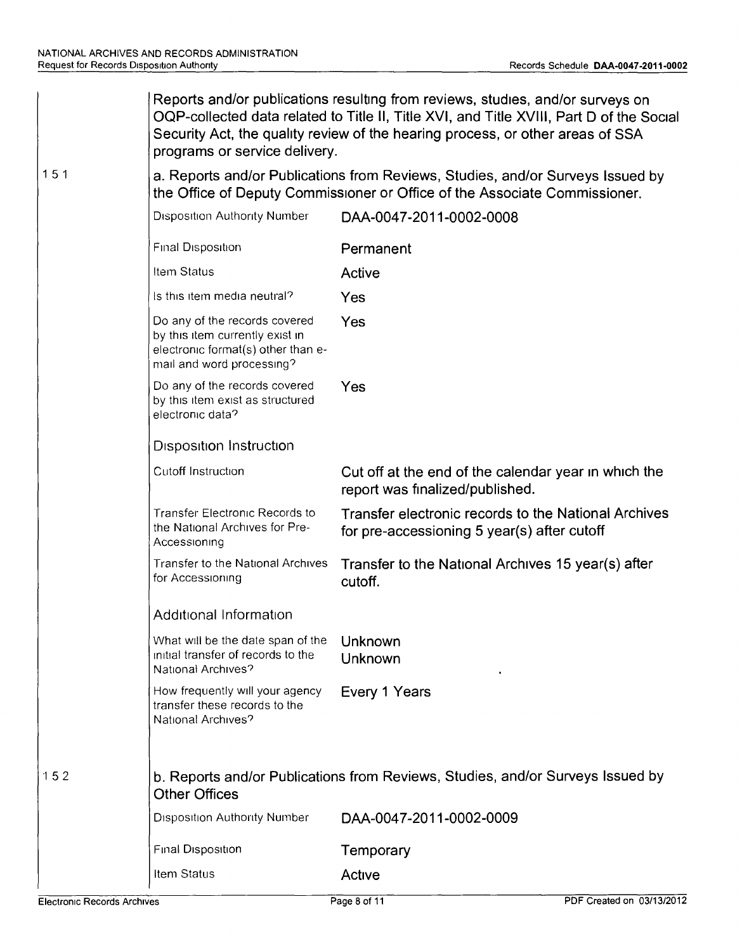|     | Reports and/or publications resulting from reviews, studies, and/or surveys on<br>OQP-collected data related to Title II, Title XVI, and Title XVIII, Part D of the Socia<br>Security Act, the quality review of the hearing process, or other areas of SSA<br>programs or service delivery. |                                                                                                     |  |  |
|-----|----------------------------------------------------------------------------------------------------------------------------------------------------------------------------------------------------------------------------------------------------------------------------------------------|-----------------------------------------------------------------------------------------------------|--|--|
| 151 | a. Reports and/or Publications from Reviews, Studies, and/or Surveys Issued by<br>the Office of Deputy Commissioner or Office of the Associate Commissioner.                                                                                                                                 |                                                                                                     |  |  |
|     | Disposition Authority Number                                                                                                                                                                                                                                                                 | DAA-0047-2011-0002-0008                                                                             |  |  |
|     | Final Disposition                                                                                                                                                                                                                                                                            | Permanent                                                                                           |  |  |
|     | Item Status                                                                                                                                                                                                                                                                                  | Active                                                                                              |  |  |
|     | Is this item media neutral?                                                                                                                                                                                                                                                                  | Yes                                                                                                 |  |  |
|     | Do any of the records covered<br>by this item currently exist in<br>electronic format(s) other than e-<br>mail and word processing?                                                                                                                                                          | Yes                                                                                                 |  |  |
|     | Do any of the records covered<br>by this item exist as structured<br>electronic data?                                                                                                                                                                                                        | Yes                                                                                                 |  |  |
|     | <b>Disposition Instruction</b>                                                                                                                                                                                                                                                               |                                                                                                     |  |  |
|     | Cutoff Instruction                                                                                                                                                                                                                                                                           | Cut off at the end of the calendar year in which the<br>report was finalized/published.             |  |  |
|     | <b>Transfer Electronic Records to</b><br>the National Archives for Pre-<br>Accessioning                                                                                                                                                                                                      | Transfer electronic records to the National Archives<br>for pre-accessioning 5 year(s) after cutoff |  |  |
|     | <b>Transfer to the National Archives</b><br>for Accessioning                                                                                                                                                                                                                                 | Transfer to the National Archives 15 year(s) after<br>cutoff.                                       |  |  |
|     | Additional Information                                                                                                                                                                                                                                                                       |                                                                                                     |  |  |
|     | What will be the date span of the<br>initial transfer of records to the<br>National Archives?                                                                                                                                                                                                | <b>Unknown</b><br><b>Unknown</b>                                                                    |  |  |
|     | How frequently will your agency<br>transfer these records to the<br>National Archives?                                                                                                                                                                                                       | Every 1 Years                                                                                       |  |  |
| 152 | b. Reports and/or Publications from Reviews, Studies, and/or Surveys Issued by<br><b>Other Offices</b>                                                                                                                                                                                       |                                                                                                     |  |  |
|     | <b>Disposition Authority Number</b>                                                                                                                                                                                                                                                          | DAA-0047-2011-0002-0009                                                                             |  |  |
|     | Final Disposition                                                                                                                                                                                                                                                                            | Temporary                                                                                           |  |  |
|     | Item Status                                                                                                                                                                                                                                                                                  | Active                                                                                              |  |  |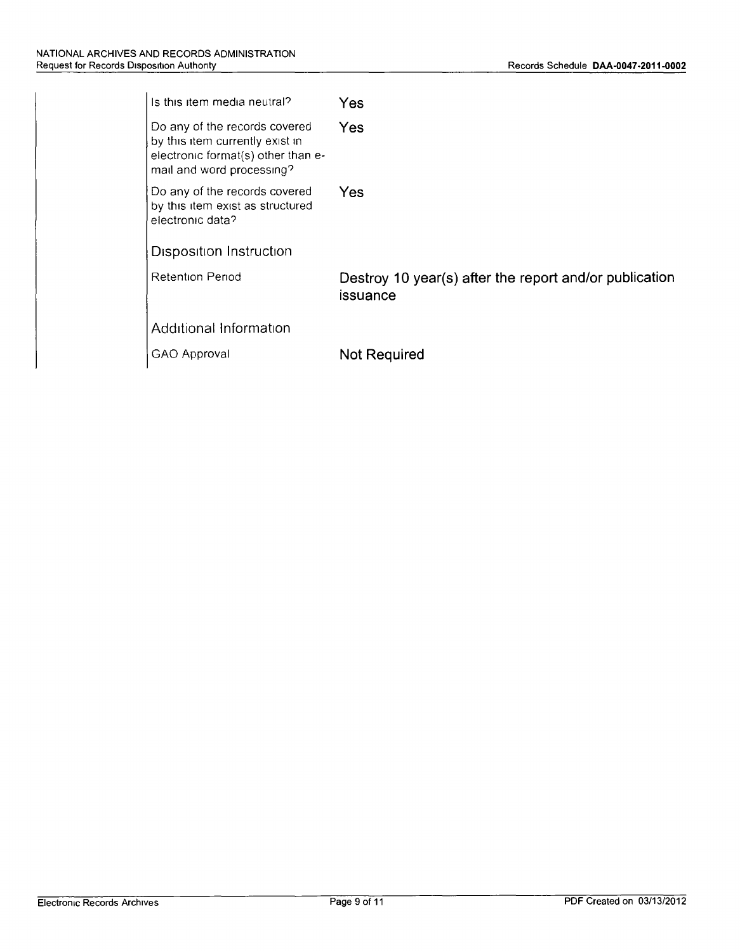| Is this item media neutral?                                                                                                         | Yes                                                                |
|-------------------------------------------------------------------------------------------------------------------------------------|--------------------------------------------------------------------|
| Do any of the records covered<br>by this item currently exist in<br>electronic format(s) other than e-<br>mail and word processing? | Yes                                                                |
| Do any of the records covered<br>by this item exist as structured<br>electronic data?                                               | Yes                                                                |
| <b>Disposition Instruction</b>                                                                                                      |                                                                    |
| Retention Period                                                                                                                    | Destroy 10 year(s) after the report and/or publication<br>issuance |
| Additional Information                                                                                                              |                                                                    |
| GAO Approval                                                                                                                        | Not Required                                                       |